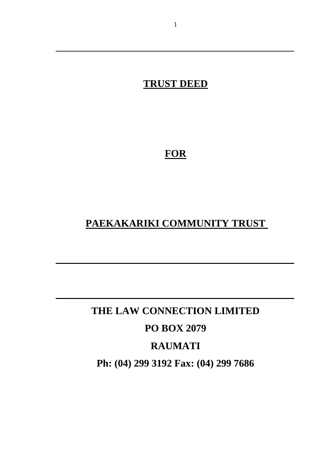## **TRUST DEED**

**FOR**

## **PAEKAKARIKI COMMUNITY TRUST**

# **THE LAW CONNECTION LIMITED PO BOX 2079 RAUMATI Ph: (04) 299 3192 Fax: (04) 299 7686**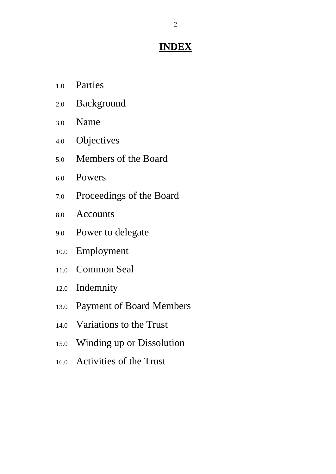## **INDEX**

- 1.0 Parties
- 2.0 Background
- 3.0 Name
- 4.0 Objectives
- 5.0 Members of the Board
- 6.0 Powers
- 7.0 Proceedings of the Board
- 8.0 Accounts
- 9.0 Power to delegate
- 10.0 Employment
- 11.0 Common Seal
- 12.0 Indemnity
- 13.0 Payment of Board Members
- 14.0 Variations to the Trust
- 15.0 Winding up or Dissolution
- 16.0 Activities of the Trust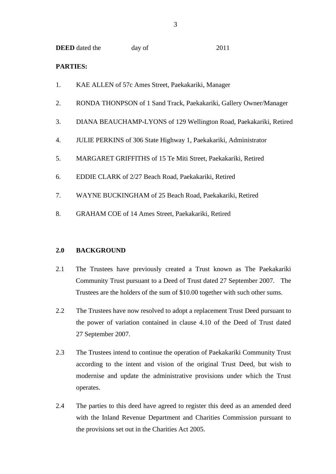|  | <b>DEED</b> dated the | day of | 2011 |
|--|-----------------------|--------|------|
|--|-----------------------|--------|------|

#### **PARTIES:**

- 1. KAE ALLEN of 57c Ames Street, Paekakariki, Manager
- 2. RONDA THONPSON of 1 Sand Track, Paekakariki, Gallery Owner/Manager
- 3. DIANA BEAUCHAMP-LYONS of 129 Wellington Road, Paekakariki, Retired
- 4. JULIE PERKINS of 306 State Highway 1, Paekakariki, Administrator
- 5. MARGARET GRIFFITHS of 15 Te Miti Street, Paekakariki, Retired
- 6. EDDIE CLARK of 2/27 Beach Road, Paekakariki, Retired
- 7. WAYNE BUCKINGHAM of 25 Beach Road, Paekakariki, Retired
- 8. GRAHAM COE of 14 Ames Street, Paekakariki, Retired

#### **2.0 BACKGROUND**

- 2.1 The Trustees have previously created a Trust known as The Paekakariki Community Trust pursuant to a Deed of Trust dated 27 September 2007. The Trustees are the holders of the sum of \$10.00 together with such other sums.
- 2.2 The Trustees have now resolved to adopt a replacement Trust Deed pursuant to the power of variation contained in clause 4.10 of the Deed of Trust dated 27 September 2007.
- 2.3 The Trustees intend to continue the operation of Paekakariki Community Trust according to the intent and vision of the original Trust Deed, but wish to modernise and update the administrative provisions under which the Trust operates.
- 2.4 The parties to this deed have agreed to register this deed as an amended deed with the Inland Revenue Department and Charities Commission pursuant to the provisions set out in the Charities Act 2005.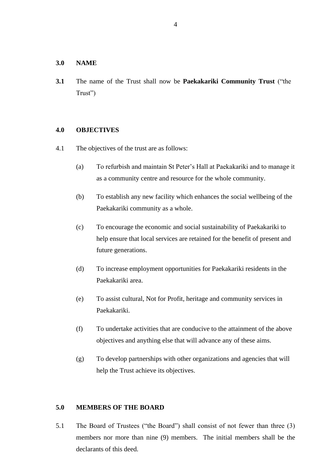#### **3.0 NAME**

**3.1** The name of the Trust shall now be **Paekakariki Community Trust** ("the Trust")

#### **4.0 OBJECTIVES**

- 4.1 The objectives of the trust are as follows:
	- (a) To refurbish and maintain St Peter's Hall at Paekakariki and to manage it as a community centre and resource for the whole community.
	- (b) To establish any new facility which enhances the social wellbeing of the Paekakariki community as a whole.
	- (c) To encourage the economic and social sustainability of Paekakariki to help ensure that local services are retained for the benefit of present and future generations.
	- (d) To increase employment opportunities for Paekakariki residents in the Paekakariki area.
	- (e) To assist cultural, Not for Profit, heritage and community services in Paekakariki.
	- (f) To undertake activities that are conducive to the attainment of the above objectives and anything else that will advance any of these aims.
	- (g) To develop partnerships with other organizations and agencies that will help the Trust achieve its objectives.

#### **5.0 MEMBERS OF THE BOARD**

5.1 The Board of Trustees ("the Board") shall consist of not fewer than three (3) members nor more than nine (9) members. The initial members shall be the declarants of this deed.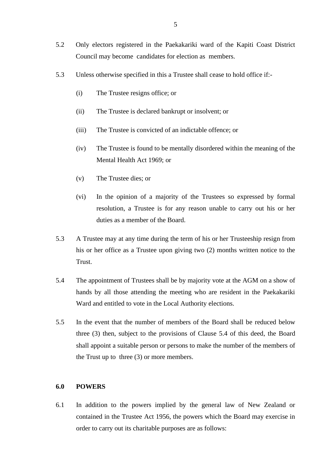- 5.2 Only electors registered in the Paekakariki ward of the Kapiti Coast District Council may become candidates for election as members.
- 5.3 Unless otherwise specified in this a Trustee shall cease to hold office if:-
	- (i) The Trustee resigns office; or
	- (ii) The Trustee is declared bankrupt or insolvent; or
	- (iii) The Trustee is convicted of an indictable offence; or
	- (iv) The Trustee is found to be mentally disordered within the meaning of the Mental Health Act 1969; or
	- (v) The Trustee dies; or
	- (vi) In the opinion of a majority of the Trustees so expressed by formal resolution, a Trustee is for any reason unable to carry out his or her duties as a member of the Board.
- 5.3 A Trustee may at any time during the term of his or her Trusteeship resign from his or her office as a Trustee upon giving two (2) months written notice to the Trust.
- 5.4 The appointment of Trustees shall be by majority vote at the AGM on a show of hands by all those attending the meeting who are resident in the Paekakariki Ward and entitled to vote in the Local Authority elections.
- 5.5 In the event that the number of members of the Board shall be reduced below three (3) then, subject to the provisions of Clause 5.4 of this deed, the Board shall appoint a suitable person or persons to make the number of the members of the Trust up to three (3) or more members.

#### **6.0 POWERS**

6.1 In addition to the powers implied by the general law of New Zealand or contained in the Trustee Act 1956, the powers which the Board may exercise in order to carry out its charitable purposes are as follows: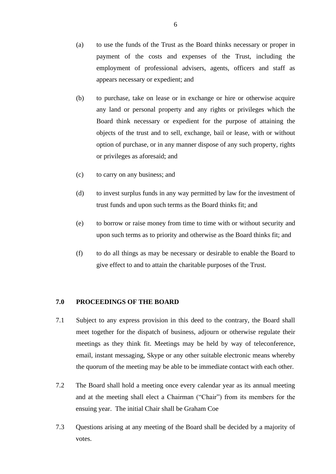- (a) to use the funds of the Trust as the Board thinks necessary or proper in payment of the costs and expenses of the Trust, including the employment of professional advisers, agents, officers and staff as appears necessary or expedient; and
- (b) to purchase, take on lease or in exchange or hire or otherwise acquire any land or personal property and any rights or privileges which the Board think necessary or expedient for the purpose of attaining the objects of the trust and to sell, exchange, bail or lease, with or without option of purchase, or in any manner dispose of any such property, rights or privileges as aforesaid; and
- (c) to carry on any business; and
- (d) to invest surplus funds in any way permitted by law for the investment of trust funds and upon such terms as the Board thinks fit; and
- (e) to borrow or raise money from time to time with or without security and upon such terms as to priority and otherwise as the Board thinks fit; and
- (f) to do all things as may be necessary or desirable to enable the Board to give effect to and to attain the charitable purposes of the Trust.

#### **7.0 PROCEEDINGS OF THE BOARD**

- 7.1 Subject to any express provision in this deed to the contrary, the Board shall meet together for the dispatch of business, adjourn or otherwise regulate their meetings as they think fit. Meetings may be held by way of teleconference, email, instant messaging, Skype or any other suitable electronic means whereby the quorum of the meeting may be able to be immediate contact with each other.
- 7.2 The Board shall hold a meeting once every calendar year as its annual meeting and at the meeting shall elect a Chairman ("Chair") from its members for the ensuing year. The initial Chair shall be Graham Coe
- 7.3 Questions arising at any meeting of the Board shall be decided by a majority of votes.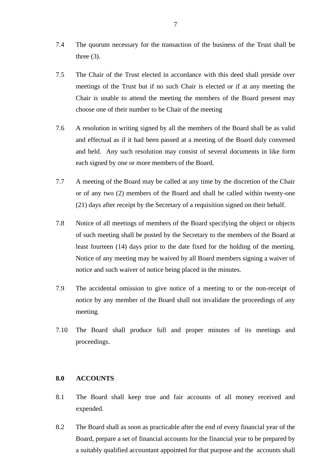- 7.4 The quorum necessary for the transaction of the business of the Trust shall be three  $(3)$ .
- 7.5 The Chair of the Trust elected in accordance with this deed shall preside over meetings of the Trust but if no such Chair is elected or if at any meeting the Chair is unable to attend the meeting the members of the Board present may choose one of their number to be Chair of the meeting
- 7.6 A resolution in writing signed by all the members of the Board shall be as valid and effectual as if it had been passed at a meeting of the Board duly convened and held. Any such resolution may consist of several documents in like form each signed by one or more members of the Board.
- 7.7 A meeting of the Board may be called at any time by the discretion of the Chair or of any two (2) members of the Board and shall be called within twenty-one (21) days after receipt by the Secretary of a requisition signed on their behalf.
- 7.8 Notice of all meetings of members of the Board specifying the object or objects of such meeting shall be posted by the Secretary to the members of the Board at least fourteen (14) days prior to the date fixed for the holding of the meeting. Notice of any meeting may be waived by all Board members signing a waiver of notice and such waiver of notice being placed in the minutes.
- 7.9 The accidental omission to give notice of a meeting to or the non-receipt of notice by any member of the Board shall not invalidate the proceedings of any meeting.
- 7.10 The Board shall produce full and proper minutes of its meetings and proceedings.

#### **8.0 ACCOUNTS**

- 8.1 The Board shall keep true and fair accounts of all money received and expended.
- 8.2 The Board shall as soon as practicable after the end of every financial year of the Board, prepare a set of financial accounts for the financial year to be prepared by a suitably qualified accountant appointed for that purpose and the accounts shall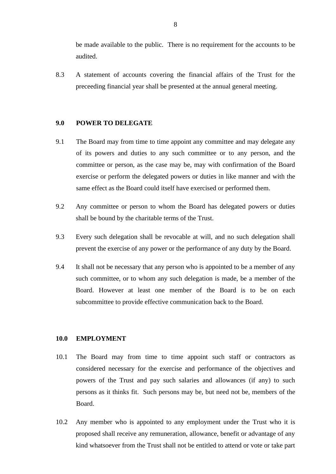be made available to the public. There is no requirement for the accounts to be audited.

8.3 A statement of accounts covering the financial affairs of the Trust for the preceeding financial year shall be presented at the annual general meeting.

#### **9.0 POWER TO DELEGATE**

- 9.1 The Board may from time to time appoint any committee and may delegate any of its powers and duties to any such committee or to any person, and the committee or person, as the case may be, may with confirmation of the Board exercise or perform the delegated powers or duties in like manner and with the same effect as the Board could itself have exercised or performed them.
- 9.2 Any committee or person to whom the Board has delegated powers or duties shall be bound by the charitable terms of the Trust.
- 9.3 Every such delegation shall be revocable at will, and no such delegation shall prevent the exercise of any power or the performance of any duty by the Board.
- 9.4 It shall not be necessary that any person who is appointed to be a member of any such committee, or to whom any such delegation is made, be a member of the Board. However at least one member of the Board is to be on each subcommittee to provide effective communication back to the Board.

#### **10.0 EMPLOYMENT**

- 10.1 The Board may from time to time appoint such staff or contractors as considered necessary for the exercise and performance of the objectives and powers of the Trust and pay such salaries and allowances (if any) to such persons as it thinks fit. Such persons may be, but need not be, members of the Board.
- 10.2 Any member who is appointed to any employment under the Trust who it is proposed shall receive any remuneration, allowance, benefit or advantage of any kind whatsoever from the Trust shall not be entitled to attend or vote or take part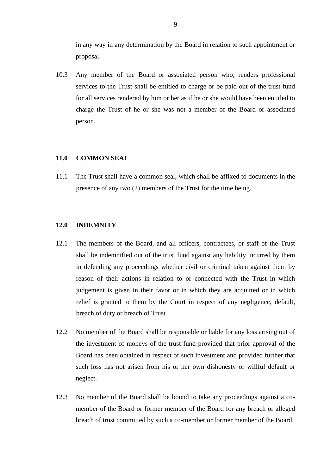in any way in any determination by the Board in relation to such appointment or proposal.

10.3 Any member of the Board or associated person who, renders professional services to the Trust shall be entitled to charge or be paid out of the trust fund for all services rendered by him or her as if he or she would have been entitled to charge the Trust of he or she was not a member of the Board or associated person.

#### **11.0 COMMON SEAL**

11.1 The Trust shall have a common seal, which shall be affixed to documents in the presence of any two (2) members of the Trust for the time being.

#### **12.0 INDEMNITY**

- 12.1 The members of the Board, and all officers, contractees, or staff of the Trust shall be indemnified out of the trust fund against any liability incurred by them in defending any proceedings whether civil or criminal taken against them by reason of their actions in relation to or connected with the Trust in which judgement is given in their favor or in which they are acquitted or in which relief is granted to them by the Court in respect of any negligence, default, breach of duty or breach of Trust.
- 12.2 No member of the Board shall be responsible or liable for any loss arising out of the investment of moneys of the trust fund provided that prior approval of the Board has been obtained in respect of such investment and provided further that such loss has not arisen from his or her own dishonesty or willful default or neglect.
- 12.3 No member of the Board shall be bound to take any proceedings against a comember of the Board or former member of the Board for any breach or alleged breach of trust committed by such a co-member or former member of the Board.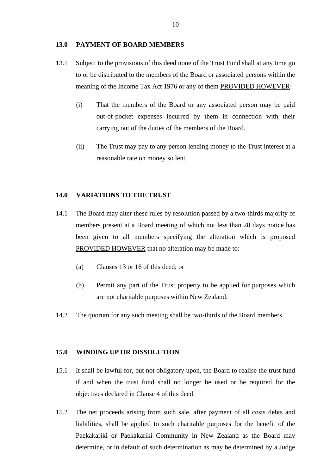#### **13.0 PAYMENT OF BOARD MEMBERS**

- 13.1 Subject to the provisions of this deed none of the Trust Fund shall at any time go to or be distributed to the members of the Board or associated persons within the meaning of the Income Tax Act 1976 or any of them PROVIDED HOWEVER:
	- (i) That the members of the Board or any associated person may be paid out-of-pocket expenses incurred by them in connection with their carrying out of the duties of the members of the Board.
	- (ii) The Trust may pay to any person lending money to the Trust interest at a reasonable rate on money so lent.

#### **14.0 VARIATIONS TO THE TRUST**

- 14.1 The Board may alter these rules by resolution passed by a two-thirds majority of members present at a Board meeting of which not less than 28 days notice has been given to all members specifying the alteration which is proposed PROVIDED HOWEVER that no alteration may be made to:
	- (a) Clauses 13 or 16 of this deed; or
	- (b) Permit any part of the Trust property to be applied for purposes which are not charitable purposes within New Zealand.
- 14.2 The quorum for any such meeting shall be two-thirds of the Board members.

#### **15.0 WINDING UP OR DISSOLUTION**

- 15.1 It shall be lawful for, but not obligatory upon, the Board to realise the trust fund if and when the trust fund shall no longer be used or be required for the objectives declared in Clause 4 of this deed.
- 15.2 The net proceeds arising from such sale, after payment of all costs debts and liabilities, shall be applied to such charitable purposes for the benefit of the Paekakariki or Paekakariki Community in New Zealand as the Board may determine, or in default of such determination as may be determined by a Judge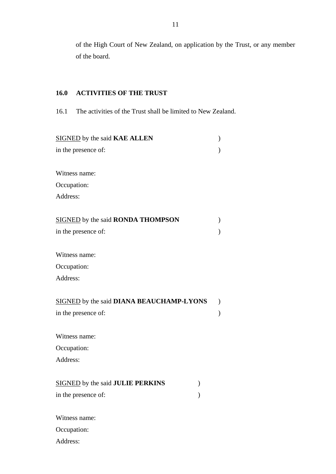of the High Court of New Zealand, on application by the Trust, or any member of the board.

### **16.0 ACTIVITIES OF THE TRUST**

16.1 The activities of the Trust shall be limited to New Zealand.

| SIGNED by the said KAE ALLEN                    |                                                                                                           |  |
|-------------------------------------------------|-----------------------------------------------------------------------------------------------------------|--|
| in the presence of:                             |                                                                                                           |  |
|                                                 |                                                                                                           |  |
| Witness name:                                   |                                                                                                           |  |
| Occupation:                                     |                                                                                                           |  |
| Address:                                        |                                                                                                           |  |
| <b>SIGNED</b> by the said <b>RONDA THOMPSON</b> |                                                                                                           |  |
| in the presence of:                             |                                                                                                           |  |
| Witness name:                                   |                                                                                                           |  |
| Occupation:                                     |                                                                                                           |  |
| Address:                                        |                                                                                                           |  |
| SIGNED by the said DIANA BEAUCHAMP-LYONS        |                                                                                                           |  |
| in the presence of:                             |                                                                                                           |  |
| Witness name:                                   |                                                                                                           |  |
| Occupation:                                     |                                                                                                           |  |
| Address:                                        |                                                                                                           |  |
| <b>SIGNED</b> by the said JULIE PERKINS         | $\mathcal{F}^{\prime}(\mathcal{F}) = \mathcal{F}^{\prime}(\mathcal{F}) \mathcal{F}^{\prime}(\mathcal{F})$ |  |
| in the presence of:                             |                                                                                                           |  |
| Witness name:                                   |                                                                                                           |  |
| Occupation:                                     |                                                                                                           |  |

Address: